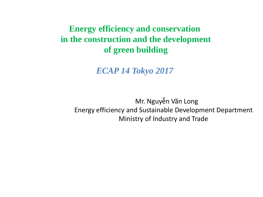**Energy efficiency and conservation in the construction and the development of green building**

*ECAP 14 Tokyo 2017*

 Mr. Nguyễn Văn Long Energy efficiency and Sustainable Development Department Ministry of Industry and Trade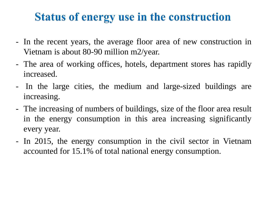## **Status of energy use in the construction**

- In the recent years, the average floor area of new construction in Vietnam is about 80-90 million m2/year.
- The area of working offices, hotels, department stores has rapidly increased.
- In the large cities, the medium and large-sized buildings are increasing.
- The increasing of numbers of buildings, size of the floor area result in the energy consumption in this area increasing significantly every year.
- In 2015, the energy consumption in the civil sector in Vietnam accounted for 15.1% of total national energy consumption.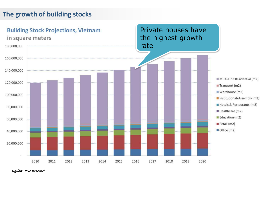#### **The growth of building stocks**



*Nguồn: Pike Research*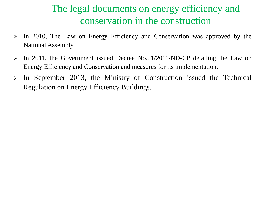### The legal documents on energy efficiency and conservation in the construction

- In 2010, The Law on Energy Efficiency and Conservation was approved by the National Assembly
- In 2011, the Government issued Decree No.21/2011/ND-CP detailing the Law on Energy Efficiency and Conservation and measures for its implementation.
- $\triangleright$  In September 2013, the Ministry of Construction issued the Technical Regulation on Energy Efficiency Buildings.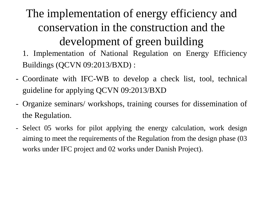The implementation of energy efficiency and conservation in the construction and the development of green building

1. Implementation of National Regulation on Energy Efficiency Buildings (QCVN 09:2013/BXD) :

- Coordinate with IFC-WB to develop a check list, tool, technical guideline for applying QCVN 09:2013/BXD
- Organize seminars/ workshops, training courses for dissemination of the Regulation.
- Select 05 works for pilot applying the energy calculation, work design aiming to meet the requirements of the Regulation from the design phase (03 works under IFC project and 02 works under Danish Project).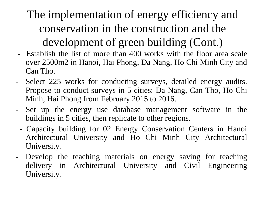## The implementation of energy efficiency and conservation in the construction and the development of green building (Cont.)

- Establish the list of more than 400 works with the floor area scale over 2500m2 in Hanoi, Hai Phong, Da Nang, Ho Chi Minh City and Can Tho.
- Select 225 works for conducting surveys, detailed energy audits. Propose to conduct surveys in 5 cities: Da Nang, Can Tho, Ho Chi Minh, Hai Phong from February 2015 to 2016.
- Set up the energy use database management software in the buildings in 5 cities, then replicate to other regions.
	- Capacity building for 02 Energy Conservation Centers in Hanoi Architectural University and Ho Chi Minh City Architectural University.
- Develop the teaching materials on energy saving for teaching delivery in Architectural University and Civil Engineering University.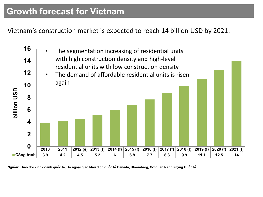#### **Growth forecast for Vietnam**

Vietnam's construction market is expected to reach 14 billion USD by 2021.



Nguồn: Theo dõi kinh doanh quốc tế, Bô ngoại giao Mâu dịch quốc tế Canađa, Bloomberg, Cơ quan Năng lượng Quốc tế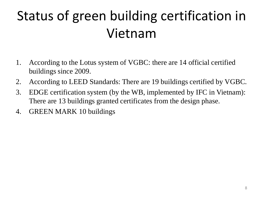# Status of green building certification in Vietnam

- 1. According to the Lotus system of VGBC: there are 14 official certified buildings since 2009.
- 2. According to LEED Standards: There are 19 buildings certified by VGBC.
- 3. EDGE certification system (by the WB, implemented by IFC in Vietnam): There are 13 buildings granted certificates from the design phase.
- 4. GREEN MARK 10 buildings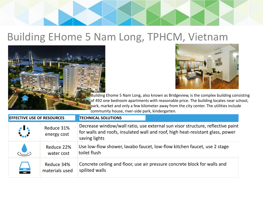

## Building EHome 5 Nam Long, TPHCM, Vietnam





Building Ehome 5 Nam Long, also known as Bridgeview, is the complex building consisting of 492 one bedroom apartments with reasonable price. The building locates near school, park, market and only a few kilometer away from the city center. The utilities include community house, river-side park, kindergarten.

| <b>EFFECTIVE USE OF RESOURCES</b> |                              | <b>TECHNICAL SOLUTIONS</b>                                                                                                                                                        |
|-----------------------------------|------------------------------|-----------------------------------------------------------------------------------------------------------------------------------------------------------------------------------|
| $\mathcal{L}$                     | Reduce 31%<br>energy cost    | Decrease window/wall ratio, use external sun visor structure, reflective paint<br>for walls and roofs, insulated wall and roof, high heat-resistant glass, power<br>saving lights |
|                                   | Reduce 22%<br>water cost     | Use low-flow shower, lavabo faucet, low-flow kitchen faucet, use 2 stage<br>toilet flush                                                                                          |
| $\equiv$                          | Reduce 34%<br>materials used | Concrete ceiling and floor, use air pressure concrete block for walls and<br>spilited walls                                                                                       |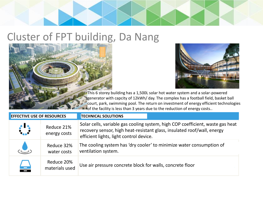

## Cluster of FPT building, Da Nang





This 6 storey building has a 1,500L solar hot water system and a solar-powered generator with capcity of 12kWh/ day. The complex has a football field, basket ball court, park, swimming pool. The return on investment of energy efficient technologies of the facility is less than 3 years due to the reduction of energy costs..

| <b>EFFECTIVE USE OF RESOURCES</b> |                              | <b>TECHNICAL SOLUTIONS</b>                                                                                                                                                                           |
|-----------------------------------|------------------------------|------------------------------------------------------------------------------------------------------------------------------------------------------------------------------------------------------|
|                                   | Reduce 21%<br>energy costs   | Solar cells, variable gas cooling system, high COP coefficient, waste gas heat<br>recovery sensor, high heat-resistant glass, insulated roof/wall, energy<br>efficient lights, light control device. |
|                                   | Reduce 32%<br>water costs    | The cooling system has 'dry cooler' to minimize water consumption of<br>ventilation system.                                                                                                          |
| $\rightarrow$                     | Reduce 20%<br>materials used | Use air pressure concrete block for walls, concrete floor                                                                                                                                            |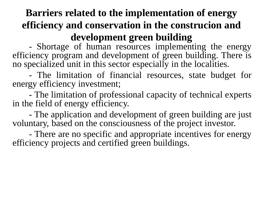### **Barriers related to the implementation of energy efficiency and conservation in the construcion and development green building**

- Shortage of human resources implementing the energy efficiency program and development of green building. There is no specialized unit in this sector especially in the localities.

- The limitation of financial resources, state budget for energy efficiency investment;

- The limitation of professional capacity of technical experts in the field of energy efficiency.

- The application and development of green building are just voluntary, based on the consciousness of the project investor.

- There are no specific and appropriate incentives for energy efficiency projects and certified green buildings.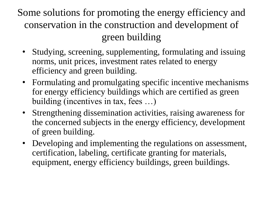Some solutions for promoting the energy efficiency and conservation in the construction and development of green building

- Studying, screening, supplementing, formulating and issuing norms, unit prices, investment rates related to energy efficiency and green building.
- Formulating and promulgating specific incentive mechanisms for energy efficiency buildings which are certified as green building (incentives in tax, fees …)
- Strengthening dissemination activities, raising awareness for the concerned subjects in the energy efficiency, development of green building.
- Developing and implementing the regulations on assessment, certification, labeling, certificate granting for materials, equipment, energy efficiency buildings, green buildings.